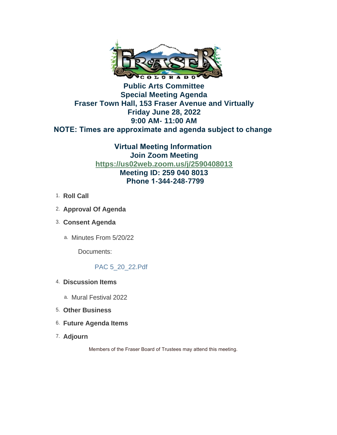

# **Public Arts Committee Special Meeting Agenda Fraser Town Hall, 153 Fraser Avenue and Virtually Friday June 28, 2022 9:00 AM- 11:00 AM NOTE: Times are approximate and agenda subject to change**

**Virtual Meeting Information Join Zoom Meeting <https://us02web.zoom.us/j/2590408013> Meeting ID: 259 040 8013 Phone 1-344-248-7799**

- 1. **Roll Call**
- **Approval Of Agenda**  2.
- **Consent Agenda** 3.
	- a. Minutes From 5/20/22

Documents:

# PAC 5\_20\_22.Pdf

- **Discussion Items**  4.
	- a. Mural Festival 2022
- **Other Business**  5.
- **Future Agenda Items** 6.
- **Adjourn**  7.

Members of the Fraser Board of Trustees may attend this meeting.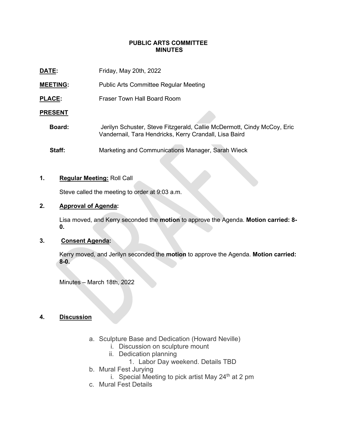#### **PUBLIC ARTS COMMITTEE MINUTES**

| DATE:           | Friday, May 20th, 2022                                                                                                            |
|-----------------|-----------------------------------------------------------------------------------------------------------------------------------|
| <b>MEETING:</b> | <b>Public Arts Committee Regular Meeting</b>                                                                                      |
| <b>PLACE:</b>   | Fraser Town Hall Board Room                                                                                                       |
| <b>PRESENT</b>  |                                                                                                                                   |
| Board:          | Jerilyn Schuster, Steve Fitzgerald, Callie McDermott, Cindy McCoy, Eric<br>Vandernail, Tara Hendricks, Kerry Crandall, Lisa Baird |
| Staff:          | Marketing and Communications Manager, Sarah Wieck                                                                                 |

#### **1. Regular Meeting:** Roll Call

Steve called the meeting to order at 9:03 a.m.

# **2. Approval of Agenda:**

Lisa moved, and Kerry seconded the **motion** to approve the Agenda. **Motion carried: 8- 0.**

## **3. Consent Agenda:**

Kerry moved, and Jerilyn seconded the **motion** to approve the Agenda. **Motion carried: 8-0.**

Minutes – March 18th, 2022

#### **4. Discussion**

- a. Sculpture Base and Dedication (Howard Neville)
	- i. Discussion on sculpture mount
	- ii. Dedication planning
		- 1. Labor Day weekend. Details TBD
- b. Mural Fest Jurying
	- i. Special Meeting to pick artist May  $24<sup>th</sup>$  at 2 pm
- c. Mural Fest Details